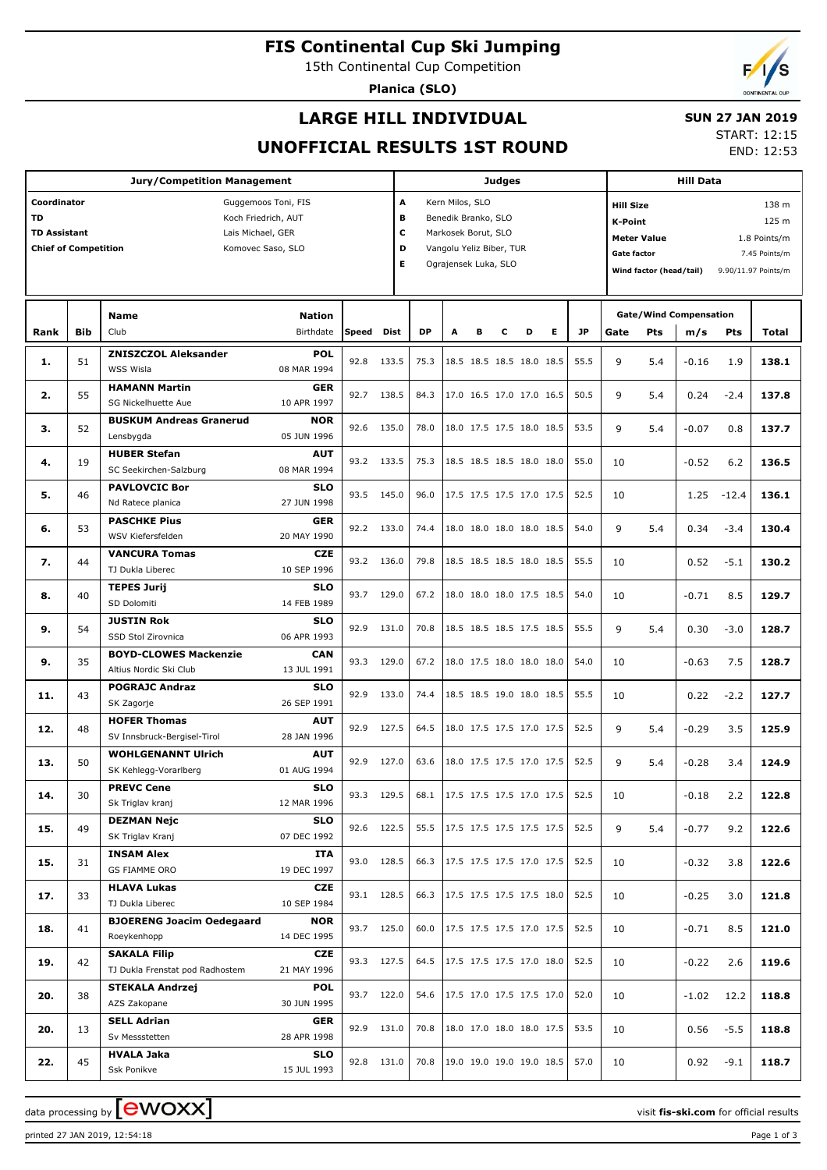**FIS Continental Cup Ski Jumping**

15th Continental Cup Competition

**Planica (SLO)**



## **LARGE HILL INDIVIDUAL**

### **SUN 27 JAN 2019**

**UNOFFICIAL RESULTS 1ST ROUND**

START: 12:15 END: 12:53

| <b>Jury/Competition Management</b>                                                                                                                                     |            |                                                    |                                   |       |            |                                                                                                                                             | Judges |   |                          |                                 |   |                                    |                                                                                                                                                                       |            | <b>Hill Data</b>              |         |              |  |  |
|------------------------------------------------------------------------------------------------------------------------------------------------------------------------|------------|----------------------------------------------------|-----------------------------------|-------|------------|---------------------------------------------------------------------------------------------------------------------------------------------|--------|---|--------------------------|---------------------------------|---|------------------------------------|-----------------------------------------------------------------------------------------------------------------------------------------------------------------------|------------|-------------------------------|---------|--------------|--|--|
| Coordinator<br>Guggemoos Toni, FIS<br><b>TD</b><br>Koch Friedrich, AUT<br><b>TD Assistant</b><br>Lais Michael, GER<br><b>Chief of Competition</b><br>Komovec Saso, SLO |            |                                                    |                                   |       |            | A<br>Kern Milos, SLO<br>в<br>Benedik Branko, SLO<br>c<br>Markosek Borut, SLO<br>D<br>Vangolu Yeliz Biber, TUR<br>E.<br>Ograjensek Luka, SLO |        |   |                          |                                 |   |                                    | <b>Hill Size</b><br>138 m<br>125 m<br>K-Point<br><b>Meter Value</b><br>1.8 Points/m<br>Gate factor<br>7.45 Points/m<br>Wind factor (head/tail)<br>9.90/11.97 Points/m |            |                               |         |              |  |  |
|                                                                                                                                                                        |            | Name<br>Club                                       | <b>Nation</b><br><b>Birthdate</b> | Speed | Dist       | <b>DP</b>                                                                                                                                   | A      | в | c                        | D                               | Е | <b>JP</b>                          |                                                                                                                                                                       |            | <b>Gate/Wind Compensation</b> |         |              |  |  |
| Rank                                                                                                                                                                   | <b>Bib</b> |                                                    |                                   |       |            |                                                                                                                                             |        |   |                          |                                 |   |                                    | Gate                                                                                                                                                                  | <b>Pts</b> | m/s                           | Pts     | <b>Total</b> |  |  |
| 1.                                                                                                                                                                     | 51         | <b>ZNISZCZOL Aleksander</b><br>WSS Wisla           | <b>POL</b><br>08 MAR 1994         | 92.8  | 133.5      | 75.3                                                                                                                                        |        |   |                          | 18.5 18.5 18.5 18.0 18.5        |   | 55.5                               | 9                                                                                                                                                                     | 5.4        | -0.16                         | 1.9     | 138.1        |  |  |
|                                                                                                                                                                        |            | <b>HAMANN Martin</b>                               | <b>GER</b>                        |       |            |                                                                                                                                             |        |   |                          |                                 |   |                                    |                                                                                                                                                                       |            |                               |         |              |  |  |
| 2.                                                                                                                                                                     | 55         | SG Nickelhuette Aue                                | 10 APR 1997                       | 92.7  | 138.5      | 84.3                                                                                                                                        |        |   | 17.0 16.5 17.0 17.0 16.5 |                                 |   | 50.5                               | 9                                                                                                                                                                     | 5.4        | 0.24                          | $-2.4$  | 137.8        |  |  |
| 3.                                                                                                                                                                     | 52         | <b>BUSKUM Andreas Granerud</b>                     | <b>NOR</b>                        | 92.6  | 135.0      | 78.0                                                                                                                                        |        |   |                          | 18.0 17.5 17.5 18.0 18.5        |   | 53.5                               | 9                                                                                                                                                                     | 5.4        | $-0.07$                       | 0.8     | 137.7        |  |  |
|                                                                                                                                                                        |            | Lensbygda                                          | 05 JUN 1996                       |       |            |                                                                                                                                             |        |   |                          |                                 |   |                                    |                                                                                                                                                                       |            |                               |         |              |  |  |
| 4.                                                                                                                                                                     | 19         | <b>HUBER Stefan</b><br>SC Seekirchen-Salzburg      | <b>AUT</b><br>08 MAR 1994         | 93.2  | 133.5      | 75.3                                                                                                                                        |        |   |                          | 18.5 18.5 18.5 18.0 18.0        |   | 55.0                               | 10                                                                                                                                                                    |            | $-0.52$                       | 6.2     | 136.5        |  |  |
| 5.                                                                                                                                                                     | 46         | <b>PAVLOVCIC Bor</b>                               | <b>SLO</b>                        | 93.5  | 145.0      | 96.0                                                                                                                                        |        |   |                          | 17.5 17.5 17.5 17.0 17.5        |   | 52.5                               | 10                                                                                                                                                                    |            | 1.25                          | $-12.4$ | 136.1        |  |  |
|                                                                                                                                                                        |            | Nd Ratece planica<br><b>PASCHKE Pius</b>           | 27 JUN 1998<br><b>GER</b>         |       |            |                                                                                                                                             |        |   |                          |                                 |   |                                    |                                                                                                                                                                       |            |                               |         |              |  |  |
| 6.                                                                                                                                                                     | 53         | WSV Kiefersfelden                                  | 20 MAY 1990                       |       | 92.2 133.0 | 74.4                                                                                                                                        |        |   |                          | 18.0 18.0 18.0 18.0 18.5        |   | 54.0                               | 9                                                                                                                                                                     | 5.4        | 0.34                          | $-3.4$  | 130.4        |  |  |
| 7.                                                                                                                                                                     | 44         | <b>VANCURA Tomas</b><br>TJ Dukla Liberec           | <b>CZE</b><br>10 SEP 1996         | 93.2  | 136.0      | 79.8                                                                                                                                        |        |   |                          | 18.5 18.5 18.5 18.0 18.5        |   | 55.5                               | 10                                                                                                                                                                    |            | 0.52                          | $-5.1$  | 130.2        |  |  |
| 8.                                                                                                                                                                     | 40         | <b>TEPES Jurij</b>                                 | <b>SLO</b>                        | 93.7  | 129.0      | 67.2                                                                                                                                        |        |   |                          | 18.0 18.0 18.0 17.5 18.5        |   | 54.0                               | 10                                                                                                                                                                    |            | $-0.71$                       | 8.5     | 129.7        |  |  |
|                                                                                                                                                                        |            | SD Dolomiti                                        | 14 FEB 1989                       |       |            |                                                                                                                                             |        |   |                          |                                 |   |                                    |                                                                                                                                                                       |            |                               |         |              |  |  |
| 9.                                                                                                                                                                     | 54         | <b>JUSTIN Rok</b><br>SSD Stol Zirovnica            | <b>SLO</b><br>06 APR 1993         | 92.9  | 131.0      | 70.8                                                                                                                                        |        |   |                          | 18.5 18.5 18.5 17.5 18.5        |   | 55.5                               | 9                                                                                                                                                                     | 5.4        | 0.30                          | $-3.0$  | 128.7        |  |  |
|                                                                                                                                                                        |            | <b>BOYD-CLOWES Mackenzie</b>                       | <b>CAN</b>                        |       |            |                                                                                                                                             |        |   |                          |                                 |   |                                    |                                                                                                                                                                       |            |                               |         |              |  |  |
| 9.                                                                                                                                                                     | 35         | Altius Nordic Ski Club                             | 13 JUL 1991                       | 93.3  | 129.0      | 67.2                                                                                                                                        |        |   |                          | 18.0 17.5 18.0 18.0 18.0        |   | 54.0                               | 10                                                                                                                                                                    |            | $-0.63$                       | 7.5     | 128.7        |  |  |
| 11.                                                                                                                                                                    | 43         | <b>POGRAJC Andraz</b>                              | <b>SLO</b>                        | 92.9  | 133.0      | 74.4                                                                                                                                        |        |   |                          | 18.5 18.5 19.0 18.0 18.5        |   | 55.5                               | 10                                                                                                                                                                    |            | 0.22                          | $-2.2$  | 127.7        |  |  |
|                                                                                                                                                                        |            | SK Zagorje                                         | 26 SEP 1991                       |       |            |                                                                                                                                             |        |   |                          |                                 |   |                                    |                                                                                                                                                                       |            |                               |         |              |  |  |
| 12.                                                                                                                                                                    | 48         | <b>HOFER Thomas</b><br>SV Innsbruck-Bergisel-Tirol | <b>AUT</b><br>28 JAN 1996         | 92.9  | 127.5      | 64.5                                                                                                                                        |        |   |                          | 18.0 17.5 17.5 17.0 17.5        |   | 52.5                               | 9                                                                                                                                                                     | 5.4        | $-0.29$                       | 3.5     | 125.9        |  |  |
| 13.                                                                                                                                                                    | 50         | <b>WOHLGENANNT Ulrich</b>                          | <b>AUT</b>                        | 92.9  | 127.0      | 63.6                                                                                                                                        |        |   |                          | 18.0 17.5 17.5 17.0 17.5        |   | 52.5                               | 9                                                                                                                                                                     | 5.4        | $-0.28$                       | 3.4     | 124.9        |  |  |
|                                                                                                                                                                        |            | SK Kehlegg-Vorarlberg                              | 01 AUG 1994                       |       |            |                                                                                                                                             |        |   |                          |                                 |   |                                    |                                                                                                                                                                       |            |                               |         |              |  |  |
| 14.                                                                                                                                                                    | 30         | <b>PREVC Cene</b><br>Sk Triglav kranj              | <b>SLO</b><br>12 MAR 1996         |       | 93.3 129.5 |                                                                                                                                             |        |   |                          |                                 |   | 68.1 17.5 17.5 17.5 17.0 17.5 52.5 | 10                                                                                                                                                                    |            | $-0.18$                       | 2.2     | 122.8        |  |  |
| 15.                                                                                                                                                                    | 49         | <b>DEZMAN Nejc</b>                                 | <b>SLO</b>                        |       | 92.6 122.5 |                                                                                                                                             |        |   |                          | 55.5   17.5 17.5 17.5 17.5 17.5 |   | 52.5                               | 9                                                                                                                                                                     | 5.4        | $-0.77$                       | 9.2     | 122.6        |  |  |
|                                                                                                                                                                        |            | SK Triglav Kranj                                   | 07 DEC 1992                       |       |            |                                                                                                                                             |        |   |                          |                                 |   |                                    |                                                                                                                                                                       |            |                               |         |              |  |  |
| 15.                                                                                                                                                                    | 31         | <b>INSAM Alex</b><br>GS FIAMME ORO                 | ITA<br>19 DEC 1997                |       | 93.0 128.5 | 66.3                                                                                                                                        |        |   |                          | 17.5 17.5 17.5 17.0 17.5        |   | 52.5                               | 10                                                                                                                                                                    |            | $-0.32$                       | 3.8     | 122.6        |  |  |
| 17.                                                                                                                                                                    | 33         | <b>HLAVA Lukas</b>                                 | CZE                               |       | 93.1 128.5 | 66.3                                                                                                                                        |        |   |                          | 17.5 17.5 17.5 17.5 18.0        |   | 52.5                               | 10                                                                                                                                                                    |            | $-0.25$                       | 3.0     | 121.8        |  |  |
|                                                                                                                                                                        |            | TJ Dukla Liberec                                   | 10 SEP 1984                       |       |            |                                                                                                                                             |        |   |                          |                                 |   |                                    |                                                                                                                                                                       |            |                               |         |              |  |  |
| 18.                                                                                                                                                                    | 41         | <b>BJOERENG Joacim Oedegaard</b><br>Roeykenhopp    | <b>NOR</b><br>14 DEC 1995         |       | 93.7 125.0 | 60.0                                                                                                                                        |        |   |                          | 17.5 17.5 17.5 17.0 17.5        |   | 52.5                               | 10                                                                                                                                                                    |            | $-0.71$                       | 8.5     | 121.0        |  |  |
|                                                                                                                                                                        |            | <b>SAKALA Filip</b>                                | CZE                               |       |            |                                                                                                                                             |        |   |                          |                                 |   |                                    |                                                                                                                                                                       |            |                               |         |              |  |  |
| 19.                                                                                                                                                                    | 42         | TJ Dukla Frenstat pod Radhostem                    | 21 MAY 1996                       |       | 93.3 127.5 | 64.5                                                                                                                                        |        |   |                          | 17.5 17.5 17.5 17.0 18.0        |   | 52.5                               | 10                                                                                                                                                                    |            | $-0.22$                       | 2.6     | 119.6        |  |  |
| 20.                                                                                                                                                                    | 38         | <b>STEKALA Andrzej</b>                             | <b>POL</b>                        |       | 93.7 122.0 | 54.6                                                                                                                                        |        |   |                          | 17.5 17.0 17.5 17.5 17.0        |   | 52.0                               | 10                                                                                                                                                                    |            | $-1.02$                       | 12.2    | 118.8        |  |  |
|                                                                                                                                                                        |            | AZS Zakopane                                       | 30 JUN 1995                       |       |            |                                                                                                                                             |        |   |                          |                                 |   |                                    |                                                                                                                                                                       |            |                               |         |              |  |  |
| 20.                                                                                                                                                                    | 13         | <b>SELL Adrian</b><br>Sv Messstetten               | <b>GER</b><br>28 APR 1998         |       | 92.9 131.0 | 70.8                                                                                                                                        |        |   |                          | 18.0 17.0 18.0 18.0 17.5        |   | 53.5                               | 10                                                                                                                                                                    |            | 0.56                          | $-5.5$  | 118.8        |  |  |
| 22.                                                                                                                                                                    | 45         | <b>HVALA Jaka</b><br>Ssk Ponikve                   | <b>SLO</b><br>15 JUL 1993         |       | 92.8 131.0 | 70.8                                                                                                                                        |        |   |                          | 19.0 19.0 19.0 19.0 18.5        |   | 57.0                               | 10                                                                                                                                                                    |            | 0.92                          | $-9.1$  | 118.7        |  |  |

printed 27 JAN 2019, 12:54:18 Page 1 of 3

data processing by **CWOXX** and  $\overline{C}$  and  $\overline{C}$  and  $\overline{C}$  and  $\overline{C}$  and  $\overline{C}$  and  $\overline{C}$  and  $\overline{C}$  and  $\overline{C}$  and  $\overline{C}$  and  $\overline{C}$  and  $\overline{C}$  and  $\overline{C}$  and  $\overline{C}$  and  $\overline{C}$  and  $\overline{C}$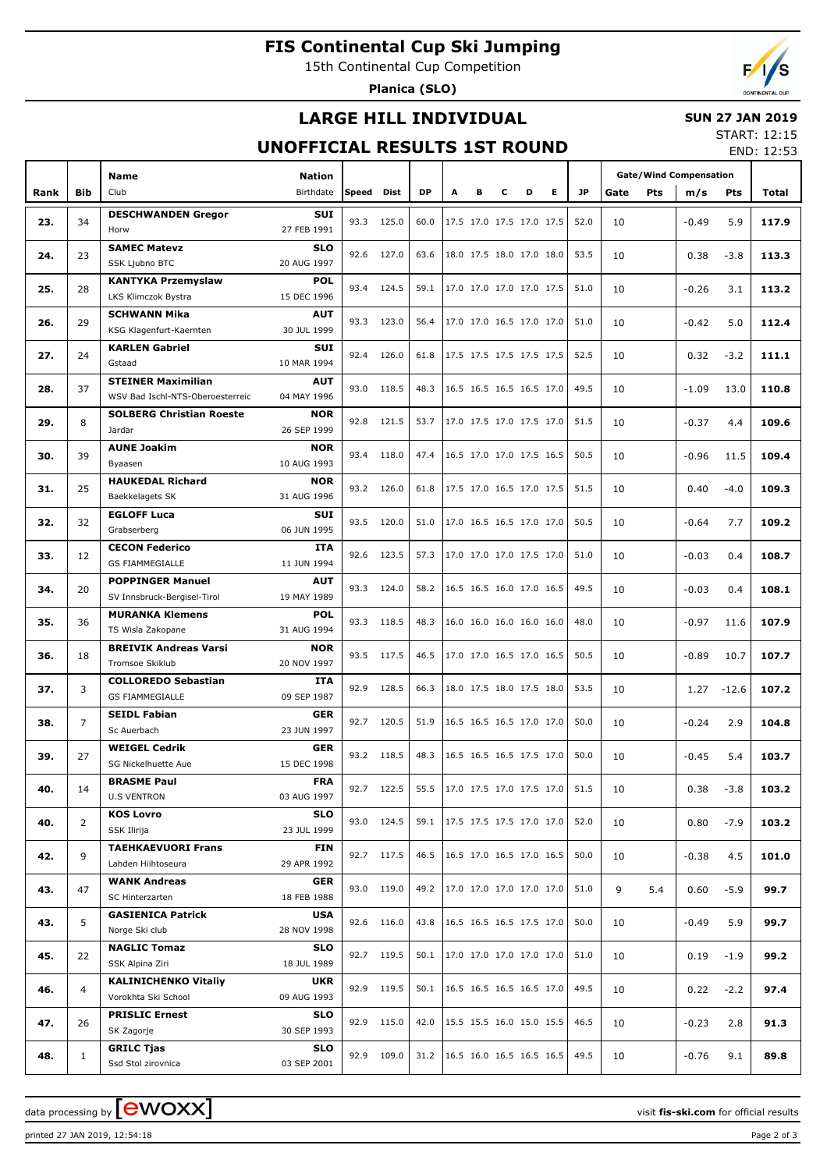# **FIS Continental Cup Ski Jumping**

15th Continental Cup Competition

**Planica (SLO)**

# **LARGE HILL INDIVIDUAL**

### **SUN 27 JAN 2019**

## **UNOFFICIAL RESULTS 1ST ROUND**

START: 12:15 END: 12:53

|      |                | <b>Name</b>                                                   |                            |       |            |           |   |   |   |                          |                          | <b>Gate/Wind Compensation</b> |      |     |         |         |       |
|------|----------------|---------------------------------------------------------------|----------------------------|-------|------------|-----------|---|---|---|--------------------------|--------------------------|-------------------------------|------|-----|---------|---------|-------|
| Rank | <b>Bib</b>     | Club                                                          | <b>Nation</b><br>Birthdate | Speed | Dist       | <b>DP</b> | A | в | с | D                        | E.                       | JP.                           | Gate | Pts | m/s     | Pts     | Total |
|      |                | <b>DESCHWANDEN Gregor</b>                                     | <b>SUI</b>                 |       |            |           |   |   |   |                          |                          |                               |      |     |         |         |       |
| 23.  | 34             | Horw                                                          | 27 FEB 1991                | 93.3  | 125.0      | 60.0      |   |   |   | 17.5 17.0 17.5 17.0 17.5 |                          | 52.0                          | 10   |     | $-0.49$ | 5.9     | 117.9 |
|      |                | <b>SAMEC Matevz</b>                                           | <b>SLO</b>                 |       |            |           |   |   |   |                          |                          |                               |      |     |         |         |       |
| 24.  | 23             | SSK Ljubno BTC                                                | 20 AUG 1997                | 92.6  | 127.0      | 63.6      |   |   |   | 18.0 17.5 18.0 17.0 18.0 |                          | 53.5                          | 10   |     | 0.38    | $-3.8$  | 113.3 |
| 25.  | 28             | <b>KANTYKA Przemyslaw</b>                                     | <b>POL</b>                 | 93.4  | 124.5      | 59.1      |   |   |   | 17.0 17.0 17.0 17.0 17.5 |                          | 51.0                          | 10   |     | $-0.26$ | 3.1     | 113.2 |
|      |                | LKS Klimczok Bystra                                           | 15 DEC 1996                |       |            |           |   |   |   |                          |                          |                               |      |     |         |         |       |
| 26.  | 29             | <b>SCHWANN Mika</b>                                           | <b>AUT</b>                 | 93.3  | 123.0      | 56.4      |   |   |   | 17.0 17.0 16.5 17.0 17.0 |                          | 51.0                          | 10   |     | $-0.42$ | 5.0     | 112.4 |
|      |                | KSG Klagenfurt-Kaernten                                       | 30 JUL 1999                |       |            |           |   |   |   |                          |                          |                               |      |     |         |         |       |
| 27.  | 24             | <b>KARLEN Gabriel</b>                                         | SUI                        | 92.4  | 126.0      | 61.8      |   |   |   | 17.5 17.5 17.5 17.5 17.5 |                          | 52.5                          | 10   |     | 0.32    | $-3.2$  | 111.1 |
|      |                | Gstaad                                                        | 10 MAR 1994                |       |            |           |   |   |   |                          |                          |                               |      |     |         |         |       |
| 28.  | 37             | <b>STEINER Maximilian</b><br>WSV Bad Ischl-NTS-Oberoesterreic | <b>AUT</b><br>04 MAY 1996  | 93.0  | 118.5      | 48.3      |   |   |   | 16.5 16.5 16.5 16.5 17.0 |                          | 49.5                          | 10   |     | $-1.09$ | 13.0    | 110.8 |
|      |                | <b>SOLBERG Christian Roeste</b>                               | <b>NOR</b>                 |       |            |           |   |   |   |                          |                          |                               |      |     |         |         |       |
| 29.  | 8              | Jardar                                                        | 26 SEP 1999                | 92.8  | 121.5      | 53.7      |   |   |   | 17.0 17.5 17.0 17.5 17.0 |                          | 51.5                          | 10   |     | $-0.37$ | 4.4     | 109.6 |
|      |                | <b>AUNE Joakim</b>                                            | <b>NOR</b>                 |       |            |           |   |   |   |                          |                          |                               |      |     |         |         |       |
| 30.  | 39             | Byaasen                                                       | 10 AUG 1993                | 93.4  | 118.0      | 47.4      |   |   |   | 16.5 17.0 17.0 17.5 16.5 |                          | 50.5                          | 10   |     | $-0.96$ | 11.5    | 109.4 |
|      |                | <b>HAUKEDAL Richard</b>                                       | <b>NOR</b>                 |       |            |           |   |   |   | 17.5 17.0 16.5 17.0 17.5 |                          |                               |      |     |         |         |       |
| 31.  | 25             | Baekkelagets SK                                               | 31 AUG 1996                | 93.2  | 126.0      | 61.8      |   |   |   |                          |                          | 51.5                          | 10   |     | 0.40    | $-4.0$  | 109.3 |
| 32.  | 32             | <b>EGLOFF Luca</b>                                            | SUI                        | 93.5  | 120.0      | 51.0      |   |   |   | 17.0 16.5 16.5 17.0 17.0 |                          | 50.5                          | 10   |     | $-0.64$ | 7.7     | 109.2 |
|      |                | Grabserberg                                                   | 06 JUN 1995                |       |            |           |   |   |   |                          |                          |                               |      |     |         |         |       |
| 33.  | 12             | <b>CECON Federico</b>                                         | <b>ITA</b>                 | 92.6  | 123.5      | 57.3      |   |   |   | 17.0 17.0 17.0 17.5 17.0 |                          | 51.0                          | 10   |     | $-0.03$ | 0.4     | 108.7 |
|      |                | <b>GS FIAMMEGIALLE</b>                                        | 11 JUN 1994                |       |            |           |   |   |   |                          |                          |                               |      |     |         |         |       |
| 34.  | 20             | <b>POPPINGER Manuel</b>                                       | <b>AUT</b>                 | 93.3  | 124.0      | 58.2      |   |   |   | 16.5 16.5 16.0 17.0 16.5 |                          | 49.5                          | 10   |     | $-0.03$ | 0.4     | 108.1 |
|      |                | SV Innsbruck-Bergisel-Tirol                                   | 19 MAY 1989                |       |            |           |   |   |   |                          |                          |                               |      |     |         |         |       |
| 35.  | 36             | <b>MURANKA Klemens</b><br>TS Wisla Zakopane                   | <b>POL</b><br>31 AUG 1994  | 93.3  | 118.5      | 48.3      |   |   |   | 16.0 16.0 16.0 16.0 16.0 |                          | 48.0                          | 10   |     | $-0.97$ | 11.6    | 107.9 |
|      |                | <b>BREIVIK Andreas Varsi</b>                                  | <b>NOR</b>                 |       |            |           |   |   |   |                          |                          |                               |      |     |         |         |       |
| 36.  | 18             | Tromsoe Skiklub                                               | 20 NOV 1997                |       | 93.5 117.5 | 46.5      |   |   |   | 17.0 17.0 16.5 17.0 16.5 |                          | 50.5                          | 10   |     | $-0.89$ | 10.7    | 107.7 |
|      |                | <b>COLLOREDO Sebastian</b>                                    | <b>ITA</b>                 |       |            |           |   |   |   |                          |                          |                               |      |     |         |         |       |
| 37.  | 3              | <b>GS FIAMMEGIALLE</b>                                        | 09 SEP 1987                | 92.9  | 128.5      | 66.3      |   |   |   | 18.0 17.5 18.0 17.5 18.0 |                          | 53.5                          | 10   |     | 1.27    | $-12.6$ | 107.2 |
|      |                | <b>SEIDL Fabian</b>                                           | <b>GER</b>                 |       |            |           |   |   |   |                          | 16.5 16.5 16.5 17.0 17.0 |                               |      |     |         |         |       |
| 38.  | $\overline{7}$ | Sc Auerbach                                                   | 23 JUN 1997                | 92.7  | 120.5      | 51.9      |   |   |   |                          |                          | 50.0                          | 10   |     | $-0.24$ | 2.9     | 104.8 |
| 39.  | 27             | <b>WEIGEL Cedrik</b>                                          | <b>GER</b>                 |       | 93.2 118.5 | 48.3      |   |   |   | 16.5 16.5 16.5 17.5 17.0 |                          | 50.0                          | 10   |     | $-0.45$ | 5.4     | 103.7 |
|      |                | SG Nickelhuette Aue                                           | 15 DEC 1998                |       |            |           |   |   |   |                          |                          |                               |      |     |         |         |       |
| 40.  | 14             | <b>BRASME Paul</b>                                            | <b>FRA</b>                 |       | 92.7 122.5 | 55.5      |   |   |   | 17.0 17.5 17.0 17.5 17.0 |                          | 51.5                          | 10   |     | 0.38    | $-3.8$  | 103.2 |
|      |                | <b>U.S VENTRON</b>                                            | 03 AUG 1997                |       |            |           |   |   |   |                          |                          |                               |      |     |         |         |       |
| 40.  | 2              | <b>KOS Lovro</b>                                              | <b>SLO</b>                 |       | 93.0 124.5 | 59.1      |   |   |   | 17.5 17.5 17.5 17.0 17.0 |                          | 52.0                          | 10   |     | 0.80    | $-7.9$  | 103.2 |
|      |                | SSK Ilirija                                                   | 23 JUL 1999                |       |            |           |   |   |   |                          |                          |                               |      |     |         |         |       |
| 42.  | 9              | <b>TAEHKAEVUORI Frans</b><br>Lahden Hiihtoseura               | FIN<br>29 APR 1992         |       | 92.7 117.5 | 46.5      |   |   |   | 16.5 17.0 16.5 17.0 16.5 |                          | 50.0                          | 10   |     | $-0.38$ | 4.5     | 101.0 |
|      |                | <b>WANK Andreas</b>                                           | <b>GER</b>                 |       |            |           |   |   |   |                          |                          |                               |      |     |         |         |       |
| 43.  | 47             | SC Hinterzarten                                               | 18 FEB 1988                |       | 93.0 119.0 | 49.2      |   |   |   | 17.0 17.0 17.0 17.0 17.0 |                          | 51.0                          | 9    | 5.4 | 0.60    | $-5.9$  | 99.7  |
|      |                | <b>GASIENICA Patrick</b>                                      | USA                        |       |            |           |   |   |   |                          |                          |                               |      |     |         |         |       |
| 43.  | 5              | Norge Ski club                                                | 28 NOV 1998                |       | 92.6 116.0 | 43.8      |   |   |   |                          | 16.5 16.5 16.5 17.5 17.0 | 50.0                          | 10   |     | $-0.49$ | 5.9     | 99.7  |
|      |                | <b>NAGLIC Tomaz</b>                                           | <b>SLO</b>                 |       |            |           |   |   |   |                          |                          |                               |      |     |         |         |       |
| 45.  | 22             | SSK Alpina Ziri                                               | 92.7 119.5<br>18 JUL 1989  |       |            | 50.1      |   |   |   | 17.0 17.0 17.0 17.0 17.0 |                          | 51.0                          | 10   |     | 0.19    | $-1.9$  | 99.2  |
| 46.  | $\overline{4}$ | <b>KALINICHENKO Vitaliy</b>                                   | UKR                        |       | 92.9 119.5 | 50.1      |   |   |   |                          | 16.5 16.5 16.5 16.5 17.0 | 49.5                          | 10   |     | 0.22    | $-2.2$  | 97.4  |
|      |                | Vorokhta Ski School                                           | 09 AUG 1993                |       |            |           |   |   |   |                          |                          |                               |      |     |         |         |       |
| 47.  | 26             | <b>PRISLIC Ernest</b>                                         | <b>SLO</b>                 |       | 92.9 115.0 | 42.0      |   |   |   | 15.5 15.5 16.0 15.0 15.5 |                          | 46.5                          | 10   |     | $-0.23$ | 2.8     | 91.3  |
|      |                | SK Zagorje                                                    | 30 SEP 1993                |       |            |           |   |   |   |                          |                          |                               |      |     |         |         |       |
| 48.  | $\mathbf{1}$   | <b>GRILC Tjas</b>                                             | <b>SLO</b>                 |       | 92.9 109.0 | 31.2      |   |   |   | 16.5 16.0 16.5 16.5 16.5 |                          | 49.5                          | 10   |     | -0.76   | 9.1     | 89.8  |
|      |                | Ssd Stol zirovnica                                            | 03 SEP 2001                |       |            |           |   |   |   |                          |                          |                               |      |     |         |         |       |

printed 27 JAN 2019, 12:54:18 Page 2 of 3

data processing by **CWOXX** and  $\overline{C}$  and  $\overline{C}$  and  $\overline{C}$  and  $\overline{C}$  and  $\overline{C}$  and  $\overline{C}$  and  $\overline{C}$  and  $\overline{C}$  and  $\overline{C}$  and  $\overline{C}$  and  $\overline{C}$  and  $\overline{C}$  and  $\overline{C}$  and  $\overline{C}$  and  $\overline{C}$